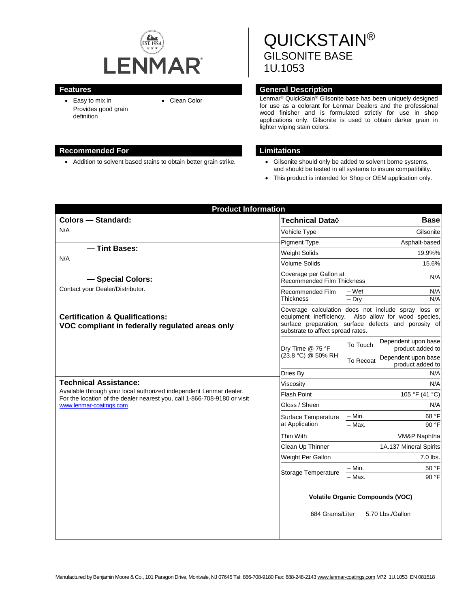

• Easy to mix in Provides good grain definition

# **Recommended For Limitations**

• Addition to solvent based stains to obtain better grain strike. • Gilsonite should only be added to solvent borne systems,

QUICKSTAIN® GILSONITE BASE 1U.1053

# **Features General Description**

• Clean Color Lenmar<sup>®</sup> QuickStain<sup>®</sup> Gilsonite base has been uniquely designed for use as a colorant for Lenmar Dealers and the professional wood finisher and is formulated strictly for use in shop applications only. Gilsonite is used to obtain darker grain in lighter wiping stain colors.

- and should be tested in all systems to insure compatibility.
- This product is intended for Shop or OEM application only.

|                                                                                                                                                                                                           | <b>Product Information</b>                                                                                                                                                                               |                                                      |  |
|-----------------------------------------------------------------------------------------------------------------------------------------------------------------------------------------------------------|----------------------------------------------------------------------------------------------------------------------------------------------------------------------------------------------------------|------------------------------------------------------|--|
| <b>Colors - Standard:</b>                                                                                                                                                                                 | Technical Data <b>◊</b>                                                                                                                                                                                  | <b>Base</b>                                          |  |
| N/A                                                                                                                                                                                                       | Vehicle Type                                                                                                                                                                                             | Gilsonite                                            |  |
|                                                                                                                                                                                                           | <b>Pigment Type</b>                                                                                                                                                                                      | Asphalt-based                                        |  |
| - Tint Bases:                                                                                                                                                                                             | <b>Weight Solids</b>                                                                                                                                                                                     | 19.9%%                                               |  |
| N/A                                                                                                                                                                                                       | Volume Solids                                                                                                                                                                                            | 15.6%                                                |  |
| Coverage per Gallon at<br>- Special Colors:<br>Recommended Film Thickness                                                                                                                                 |                                                                                                                                                                                                          | N/A                                                  |  |
| Contact your Dealer/Distributor.                                                                                                                                                                          | Recommended Film<br>Thickness                                                                                                                                                                            | – Wet<br>N/A<br>N/A<br>$-$ Dry                       |  |
| <b>Certification &amp; Qualifications:</b><br>VOC compliant in federally regulated areas only                                                                                                             | Coverage calculation does not include spray loss or<br>equipment inefficiency. Also allow for wood species,<br>surface preparation, surface defects and porosity of<br>substrate to affect spread rates. |                                                      |  |
|                                                                                                                                                                                                           | Dry Time @ 75 °F<br>(23.8 °C) @ 50% RH                                                                                                                                                                   | Dependent upon base<br>To Touch<br>product added to  |  |
|                                                                                                                                                                                                           |                                                                                                                                                                                                          | Dependent upon base<br>To Recoat<br>product added to |  |
|                                                                                                                                                                                                           | Dries Bv                                                                                                                                                                                                 | N/A                                                  |  |
| <b>Technical Assistance:</b><br>Available through your local authorized independent Lenmar dealer.<br>For the location of the dealer nearest you, call 1-866-708-9180 or visit<br>www.lenmar-coatings.com | Viscositv                                                                                                                                                                                                | N/A                                                  |  |
|                                                                                                                                                                                                           | Flash Point                                                                                                                                                                                              | 105 °F (41 °C)                                       |  |
|                                                                                                                                                                                                           | Gloss / Sheen                                                                                                                                                                                            | N/A                                                  |  |
|                                                                                                                                                                                                           | Surface Temperature<br>at Application                                                                                                                                                                    | $- Min.$<br>68 °F                                    |  |
|                                                                                                                                                                                                           |                                                                                                                                                                                                          | 90 °F<br>- Max.                                      |  |
|                                                                                                                                                                                                           | Thin With                                                                                                                                                                                                | VM&P Naphtha                                         |  |
|                                                                                                                                                                                                           | Clean Up Thinner                                                                                                                                                                                         | 1A.137 Mineral Spirits                               |  |
|                                                                                                                                                                                                           | Weight Per Gallon                                                                                                                                                                                        | $7.0$ lbs.                                           |  |
|                                                                                                                                                                                                           | Storage Temperature                                                                                                                                                                                      | 50 °F<br>– Min.<br>90 °F<br>– Max.                   |  |
|                                                                                                                                                                                                           | <b>Volatile Organic Compounds (VOC)</b><br>684 Grams/Liter<br>5.70 Lbs./Gallon                                                                                                                           |                                                      |  |